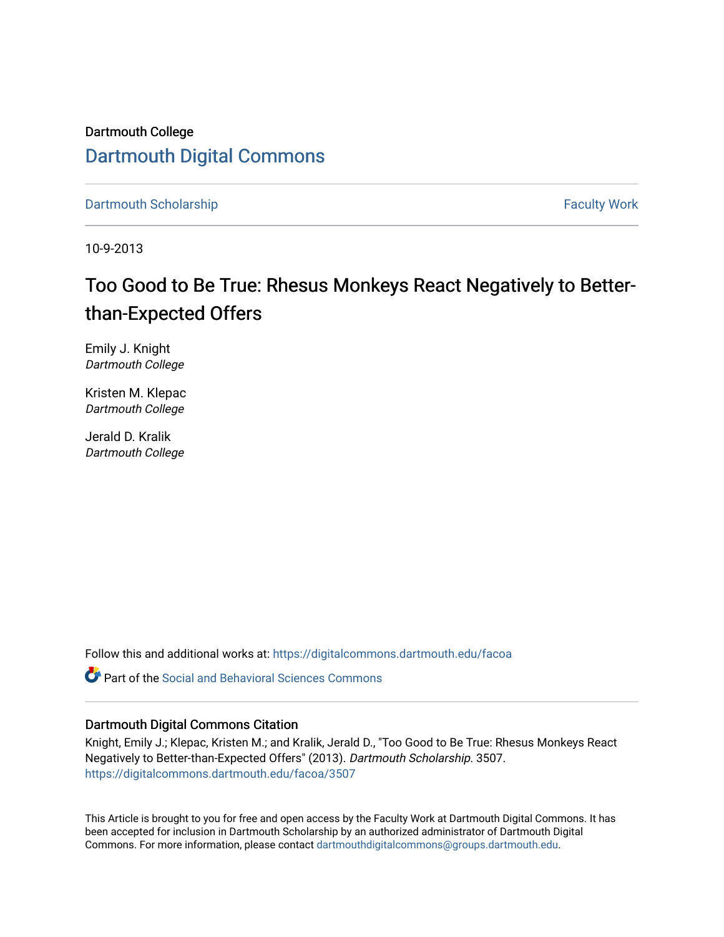Dartmouth College [Dartmouth Digital Commons](https://digitalcommons.dartmouth.edu/) 

[Dartmouth Scholarship](https://digitalcommons.dartmouth.edu/facoa) Faculty Work

10-9-2013

# Too Good to Be True: Rhesus Monkeys React Negatively to Betterthan-Expected Offers

Emily J. Knight Dartmouth College

Kristen M. Klepac Dartmouth College

Jerald D. Kralik Dartmouth College

Follow this and additional works at: [https://digitalcommons.dartmouth.edu/facoa](https://digitalcommons.dartmouth.edu/facoa?utm_source=digitalcommons.dartmouth.edu%2Ffacoa%2F3507&utm_medium=PDF&utm_campaign=PDFCoverPages)

**C** Part of the Social and Behavioral Sciences Commons

# Dartmouth Digital Commons Citation

Knight, Emily J.; Klepac, Kristen M.; and Kralik, Jerald D., "Too Good to Be True: Rhesus Monkeys React Negatively to Better-than-Expected Offers" (2013). Dartmouth Scholarship. 3507. [https://digitalcommons.dartmouth.edu/facoa/3507](https://digitalcommons.dartmouth.edu/facoa/3507?utm_source=digitalcommons.dartmouth.edu%2Ffacoa%2F3507&utm_medium=PDF&utm_campaign=PDFCoverPages) 

This Article is brought to you for free and open access by the Faculty Work at Dartmouth Digital Commons. It has been accepted for inclusion in Dartmouth Scholarship by an authorized administrator of Dartmouth Digital Commons. For more information, please contact [dartmouthdigitalcommons@groups.dartmouth.edu](mailto:dartmouthdigitalcommons@groups.dartmouth.edu).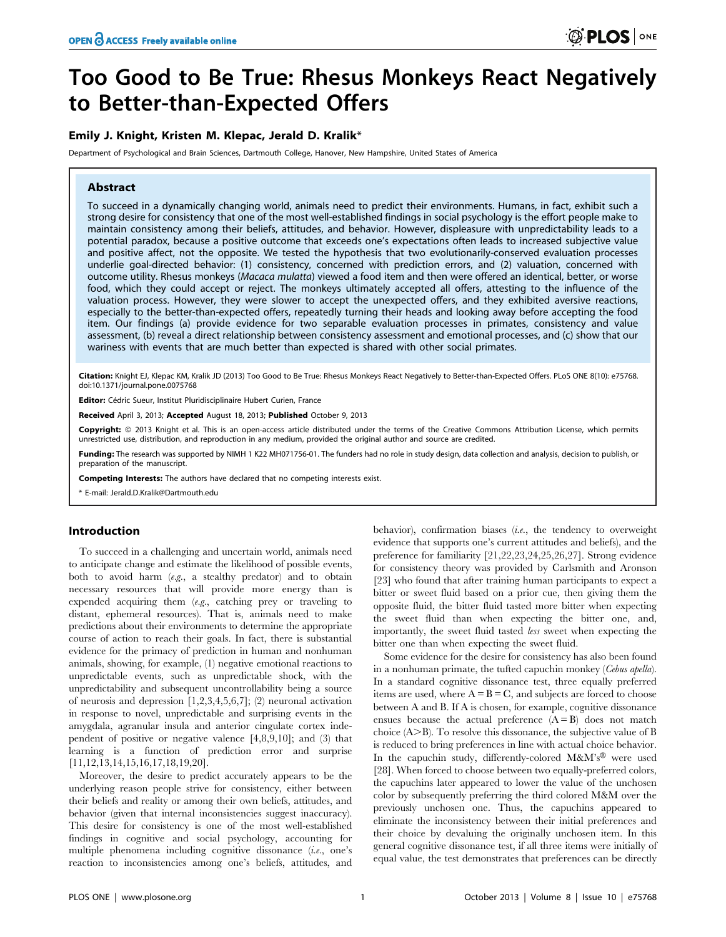# Too Good to Be True: Rhesus Monkeys React Negatively to Better-than-Expected Offers

# Emily J. Knight, Kristen M. Klepac, Jerald D. Kralik\*

Department of Psychological and Brain Sciences, Dartmouth College, Hanover, New Hampshire, United States of America

# Abstract

To succeed in a dynamically changing world, animals need to predict their environments. Humans, in fact, exhibit such a strong desire for consistency that one of the most well-established findings in social psychology is the effort people make to maintain consistency among their beliefs, attitudes, and behavior. However, displeasure with unpredictability leads to a potential paradox, because a positive outcome that exceeds one's expectations often leads to increased subjective value and positive affect, not the opposite. We tested the hypothesis that two evolutionarily-conserved evaluation processes underlie goal-directed behavior: (1) consistency, concerned with prediction errors, and (2) valuation, concerned with outcome utility. Rhesus monkeys (Macaca mulatta) viewed a food item and then were offered an identical, better, or worse food, which they could accept or reject. The monkeys ultimately accepted all offers, attesting to the influence of the valuation process. However, they were slower to accept the unexpected offers, and they exhibited aversive reactions, especially to the better-than-expected offers, repeatedly turning their heads and looking away before accepting the food item. Our findings (a) provide evidence for two separable evaluation processes in primates, consistency and value assessment, (b) reveal a direct relationship between consistency assessment and emotional processes, and (c) show that our wariness with events that are much better than expected is shared with other social primates.

Citation: Knight EJ, Klepac KM, Kralik JD (2013) Too Good to Be True: Rhesus Monkeys React Negatively to Better-than-Expected Offers. PLoS ONE 8(10): e75768. doi:10.1371/journal.pone.0075768

Editor: Cédric Sueur, Institut Pluridisciplinaire Hubert Curien, France

Received April 3, 2013; Accepted August 18, 2013; Published October 9, 2013

Copyright: © 2013 Knight et al. This is an open-access article distributed under the terms of the Creative Commons Attribution License, which permits unrestricted use, distribution, and reproduction in any medium, provided the original author and source are credited.

**Funding:** The research was supported by NIMH 1 K22 MH071756-01. The funders had no role in study design, data collection and analysis, decision to publish, or preparation of the manuscript.

Competing Interests: The authors have declared that no competing interests exist.

\* E-mail: Jerald.D.Kralik@Dartmouth.edu

# Introduction

To succeed in a challenging and uncertain world, animals need to anticipate change and estimate the likelihood of possible events, both to avoid harm  $(e.g., a$  stealthy predator) and to obtain necessary resources that will provide more energy than is expended acquiring them  $(e.g.,$  catching prey or traveling to distant, ephemeral resources). That is, animals need to make predictions about their environments to determine the appropriate course of action to reach their goals. In fact, there is substantial evidence for the primacy of prediction in human and nonhuman animals, showing, for example, (1) negative emotional reactions to unpredictable events, such as unpredictable shock, with the unpredictability and subsequent uncontrollability being a source of neurosis and depression [1,2,3,4,5,6,7]; (2) neuronal activation in response to novel, unpredictable and surprising events in the amygdala, agranular insula and anterior cingulate cortex independent of positive or negative valence [4,8,9,10]; and (3) that learning is a function of prediction error and surprise [11,12,13,14,15,16,17,18,19,20].

Moreover, the desire to predict accurately appears to be the underlying reason people strive for consistency, either between their beliefs and reality or among their own beliefs, attitudes, and behavior (given that internal inconsistencies suggest inaccuracy). This desire for consistency is one of the most well-established findings in cognitive and social psychology, accounting for multiple phenomena including cognitive dissonance (i.e., one's reaction to inconsistencies among one's beliefs, attitudes, and behavior), confirmation biases (i.e., the tendency to overweight evidence that supports one's current attitudes and beliefs), and the preference for familiarity [21,22,23,24,25,26,27]. Strong evidence for consistency theory was provided by Carlsmith and Aronson [23] who found that after training human participants to expect a bitter or sweet fluid based on a prior cue, then giving them the opposite fluid, the bitter fluid tasted more bitter when expecting the sweet fluid than when expecting the bitter one, and, importantly, the sweet fluid tasted less sweet when expecting the bitter one than when expecting the sweet fluid.

Some evidence for the desire for consistency has also been found in a nonhuman primate, the tufted capuchin monkey (Cebus apella). In a standard cognitive dissonance test, three equally preferred items are used, where  $A = B = C$ , and subjects are forced to choose between A and B. If A is chosen, for example, cognitive dissonance ensues because the actual preference  $(A = B)$  does not match choice  $(A>B)$ . To resolve this dissonance, the subjective value of B is reduced to bring preferences in line with actual choice behavior. In the capuchin study, differently-colored  $M\&M's^{\circledR}$  were used [28]. When forced to choose between two equally-preferred colors, the capuchins later appeared to lower the value of the unchosen color by subsequently preferring the third colored M&M over the previously unchosen one. Thus, the capuchins appeared to eliminate the inconsistency between their initial preferences and their choice by devaluing the originally unchosen item. In this general cognitive dissonance test, if all three items were initially of equal value, the test demonstrates that preferences can be directly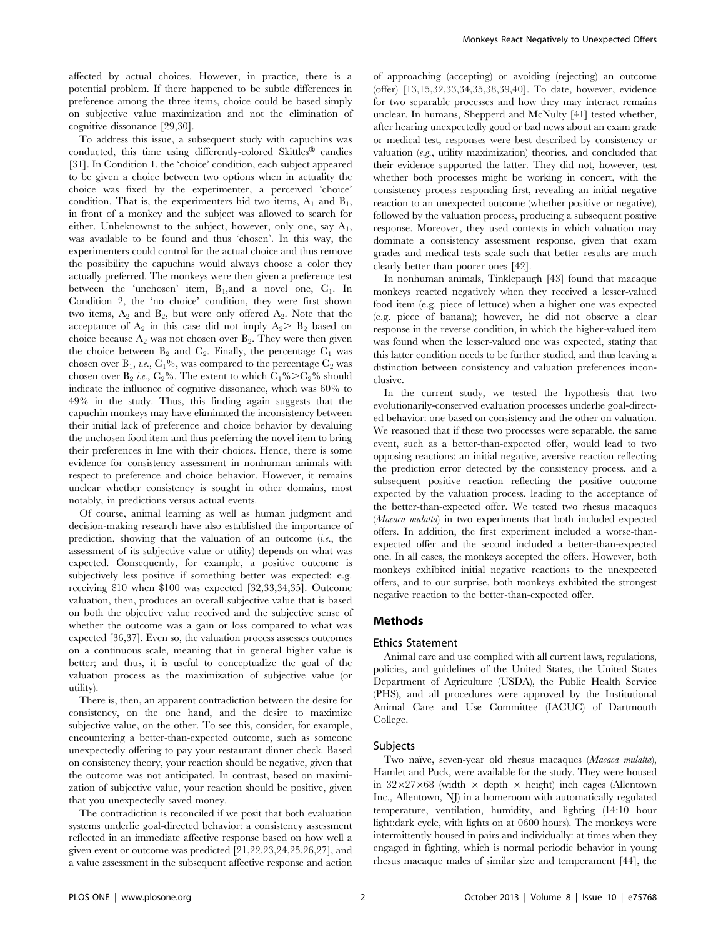affected by actual choices. However, in practice, there is a potential problem. If there happened to be subtle differences in preference among the three items, choice could be based simply on subjective value maximization and not the elimination of cognitive dissonance [29,30].

To address this issue, a subsequent study with capuchins was conducted, this time using differently-colored Skittles<sup>®</sup> candies [31]. In Condition 1, the 'choice' condition, each subject appeared to be given a choice between two options when in actuality the choice was fixed by the experimenter, a perceived 'choice' condition. That is, the experimenters hid two items,  $A_1$  and  $B_1$ , in front of a monkey and the subject was allowed to search for either. Unbeknownst to the subject, however, only one, say  $A_1$ , was available to be found and thus 'chosen'. In this way, the experimenters could control for the actual choice and thus remove the possibility the capuchins would always choose a color they actually preferred. The monkeys were then given a preference test between the 'unchosen' item,  $B_1$ , and a novel one,  $C_1$ . In Condition 2, the 'no choice' condition, they were first shown two items,  $A_2$  and  $B_2$ , but were only offered  $A_2$ . Note that the acceptance of  $A_2$  in this case did not imply  $A_2 > B_2$  based on choice because  $A_2$  was not chosen over  $B_2$ . They were then given the choice between  $B_2$  and  $C_2$ . Finally, the percentage  $C_1$  was chosen over  $B_1$ , *i.e.*,  $C_1$ %, was compared to the percentage  $C_2$  was chosen over B<sub>2</sub> i.e., C<sub>2</sub>%. The extent to which C<sub>1</sub>% $\geq$ C<sub>2</sub>% should indicate the influence of cognitive dissonance, which was 60% to 49% in the study. Thus, this finding again suggests that the capuchin monkeys may have eliminated the inconsistency between their initial lack of preference and choice behavior by devaluing the unchosen food item and thus preferring the novel item to bring their preferences in line with their choices. Hence, there is some evidence for consistency assessment in nonhuman animals with respect to preference and choice behavior. However, it remains unclear whether consistency is sought in other domains, most notably, in predictions versus actual events.

Of course, animal learning as well as human judgment and decision-making research have also established the importance of prediction, showing that the valuation of an outcome  $(i.e.,$  the assessment of its subjective value or utility) depends on what was expected. Consequently, for example, a positive outcome is subjectively less positive if something better was expected: e.g. receiving \$10 when \$100 was expected [32,33,34,35]. Outcome valuation, then, produces an overall subjective value that is based on both the objective value received and the subjective sense of whether the outcome was a gain or loss compared to what was expected [36,37]. Even so, the valuation process assesses outcomes on a continuous scale, meaning that in general higher value is better; and thus, it is useful to conceptualize the goal of the valuation process as the maximization of subjective value (or utility).

There is, then, an apparent contradiction between the desire for consistency, on the one hand, and the desire to maximize subjective value, on the other. To see this, consider, for example, encountering a better-than-expected outcome, such as someone unexpectedly offering to pay your restaurant dinner check. Based on consistency theory, your reaction should be negative, given that the outcome was not anticipated. In contrast, based on maximization of subjective value, your reaction should be positive, given that you unexpectedly saved money.

The contradiction is reconciled if we posit that both evaluation systems underlie goal-directed behavior: a consistency assessment reflected in an immediate affective response based on how well a given event or outcome was predicted [21,22,23,24,25,26,27], and a value assessment in the subsequent affective response and action of approaching (accepting) or avoiding (rejecting) an outcome (offer) [13,15,32,33,34,35,38,39,40]. To date, however, evidence for two separable processes and how they may interact remains unclear. In humans, Shepperd and McNulty [41] tested whether, after hearing unexpectedly good or bad news about an exam grade or medical test, responses were best described by consistency or valuation (e.g., utility maximization) theories, and concluded that their evidence supported the latter. They did not, however, test whether both processes might be working in concert, with the consistency process responding first, revealing an initial negative reaction to an unexpected outcome (whether positive or negative), followed by the valuation process, producing a subsequent positive response. Moreover, they used contexts in which valuation may dominate a consistency assessment response, given that exam grades and medical tests scale such that better results are much clearly better than poorer ones [42].

In nonhuman animals, Tinklepaugh [43] found that macaque monkeys reacted negatively when they received a lesser-valued food item (e.g. piece of lettuce) when a higher one was expected (e.g. piece of banana); however, he did not observe a clear response in the reverse condition, in which the higher-valued item was found when the lesser-valued one was expected, stating that this latter condition needs to be further studied, and thus leaving a distinction between consistency and valuation preferences inconclusive.

In the current study, we tested the hypothesis that two evolutionarily-conserved evaluation processes underlie goal-directed behavior: one based on consistency and the other on valuation. We reasoned that if these two processes were separable, the same event, such as a better-than-expected offer, would lead to two opposing reactions: an initial negative, aversive reaction reflecting the prediction error detected by the consistency process, and a subsequent positive reaction reflecting the positive outcome expected by the valuation process, leading to the acceptance of the better-than-expected offer. We tested two rhesus macaques (Macaca mulatta) in two experiments that both included expected offers. In addition, the first experiment included a worse-thanexpected offer and the second included a better-than-expected one. In all cases, the monkeys accepted the offers. However, both monkeys exhibited initial negative reactions to the unexpected offers, and to our surprise, both monkeys exhibited the strongest negative reaction to the better-than-expected offer.

### Methods

#### Ethics Statement

Animal care and use complied with all current laws, regulations, policies, and guidelines of the United States, the United States Department of Agriculture (USDA), the Public Health Service (PHS), and all procedures were approved by the Institutional Animal Care and Use Committee (IACUC) of Dartmouth College.

#### Subjects

Two naïve, seven-year old rhesus macaques (Macaca mulatta), Hamlet and Puck, were available for the study. They were housed in  $32\times27\times68$  (width  $\times$  depth  $\times$  height) inch cages (Allentown Inc., Allentown, NJ) in a homeroom with automatically regulated temperature, ventilation, humidity, and lighting (14:10 hour light:dark cycle, with lights on at 0600 hours). The monkeys were intermittently housed in pairs and individually: at times when they engaged in fighting, which is normal periodic behavior in young rhesus macaque males of similar size and temperament [44], the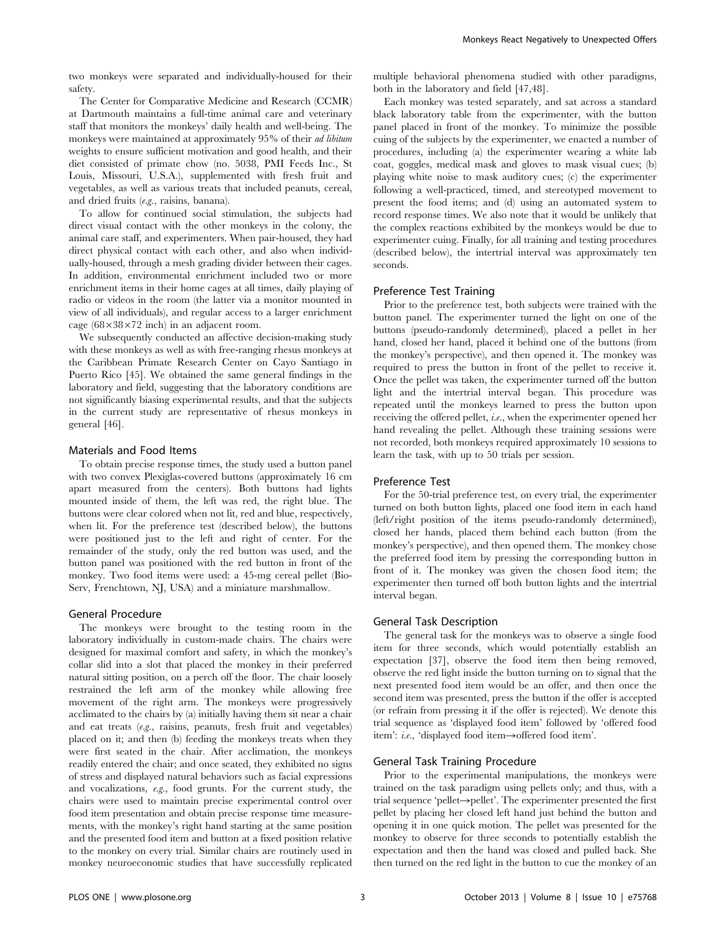two monkeys were separated and individually-housed for their safety.

The Center for Comparative Medicine and Research (CCMR) at Dartmouth maintains a full-time animal care and veterinary staff that monitors the monkeys' daily health and well-being. The monkeys were maintained at approximately 95% of their ad libitum weights to ensure sufficient motivation and good health, and their diet consisted of primate chow (no. 5038, PMI Feeds Inc., St Louis, Missouri, U.S.A.), supplemented with fresh fruit and vegetables, as well as various treats that included peanuts, cereal, and dried fruits (e.g., raisins, banana).

To allow for continued social stimulation, the subjects had direct visual contact with the other monkeys in the colony, the animal care staff, and experimenters. When pair-housed, they had direct physical contact with each other, and also when individually-housed, through a mesh grading divider between their cages. In addition, environmental enrichment included two or more enrichment items in their home cages at all times, daily playing of radio or videos in the room (the latter via a monitor mounted in view of all individuals), and regular access to a larger enrichment cage  $(68\times38\times72$  inch) in an adjacent room.

We subsequently conducted an affective decision-making study with these monkeys as well as with free-ranging rhesus monkeys at the Caribbean Primate Research Center on Cayo Santiago in Puerto Rico [45]. We obtained the same general findings in the laboratory and field, suggesting that the laboratory conditions are not significantly biasing experimental results, and that the subjects in the current study are representative of rhesus monkeys in general [46].

#### Materials and Food Items

To obtain precise response times, the study used a button panel with two convex Plexiglas-covered buttons (approximately 16 cm apart measured from the centers). Both buttons had lights mounted inside of them, the left was red, the right blue. The buttons were clear colored when not lit, red and blue, respectively, when lit. For the preference test (described below), the buttons were positioned just to the left and right of center. For the remainder of the study, only the red button was used, and the button panel was positioned with the red button in front of the monkey. Two food items were used: a 45-mg cereal pellet (Bio-Serv, Frenchtown, NJ, USA) and a miniature marshmallow.

#### General Procedure

The monkeys were brought to the testing room in the laboratory individually in custom-made chairs. The chairs were designed for maximal comfort and safety, in which the monkey's collar slid into a slot that placed the monkey in their preferred natural sitting position, on a perch off the floor. The chair loosely restrained the left arm of the monkey while allowing free movement of the right arm. The monkeys were progressively acclimated to the chairs by (a) initially having them sit near a chair and eat treats (e.g., raisins, peanuts, fresh fruit and vegetables) placed on it; and then (b) feeding the monkeys treats when they were first seated in the chair. After acclimation, the monkeys readily entered the chair; and once seated, they exhibited no signs of stress and displayed natural behaviors such as facial expressions and vocalizations, e.g., food grunts. For the current study, the chairs were used to maintain precise experimental control over food item presentation and obtain precise response time measurements, with the monkey's right hand starting at the same position and the presented food item and button at a fixed position relative to the monkey on every trial. Similar chairs are routinely used in monkey neuroeconomic studies that have successfully replicated multiple behavioral phenomena studied with other paradigms, both in the laboratory and field [47,48].

Each monkey was tested separately, and sat across a standard black laboratory table from the experimenter, with the button panel placed in front of the monkey. To minimize the possible cuing of the subjects by the experimenter, we enacted a number of procedures, including (a) the experimenter wearing a white lab coat, goggles, medical mask and gloves to mask visual cues; (b) playing white noise to mask auditory cues; (c) the experimenter following a well-practiced, timed, and stereotyped movement to present the food items; and (d) using an automated system to record response times. We also note that it would be unlikely that the complex reactions exhibited by the monkeys would be due to experimenter cuing. Finally, for all training and testing procedures (described below), the intertrial interval was approximately ten seconds.

#### Preference Test Training

Prior to the preference test, both subjects were trained with the button panel. The experimenter turned the light on one of the buttons (pseudo-randomly determined), placed a pellet in her hand, closed her hand, placed it behind one of the buttons (from the monkey's perspective), and then opened it. The monkey was required to press the button in front of the pellet to receive it. Once the pellet was taken, the experimenter turned off the button light and the intertrial interval began. This procedure was repeated until the monkeys learned to press the button upon receiving the offered pellet, i.e., when the experimenter opened her hand revealing the pellet. Although these training sessions were not recorded, both monkeys required approximately 10 sessions to learn the task, with up to 50 trials per session.

### Preference Test

For the 50-trial preference test, on every trial, the experimenter turned on both button lights, placed one food item in each hand (left/right position of the items pseudo-randomly determined), closed her hands, placed them behind each button (from the monkey's perspective), and then opened them. The monkey chose the preferred food item by pressing the corresponding button in front of it. The monkey was given the chosen food item; the experimenter then turned off both button lights and the intertrial interval began.

#### General Task Description

The general task for the monkeys was to observe a single food item for three seconds, which would potentially establish an expectation [37], observe the food item then being removed, observe the red light inside the button turning on to signal that the next presented food item would be an offer, and then once the second item was presented, press the button if the offer is accepted (or refrain from pressing it if the offer is rejected). We denote this trial sequence as 'displayed food item' followed by 'offered food item': i.e., 'displayed food item $\rightarrow$ offered food item'.

# General Task Training Procedure

Prior to the experimental manipulations, the monkeys were trained on the task paradigm using pellets only; and thus, with a trial sequence 'pellet $\rightarrow$ pellet'. The experimenter presented the first pellet by placing her closed left hand just behind the button and opening it in one quick motion. The pellet was presented for the monkey to observe for three seconds to potentially establish the expectation and then the hand was closed and pulled back. She then turned on the red light in the button to cue the monkey of an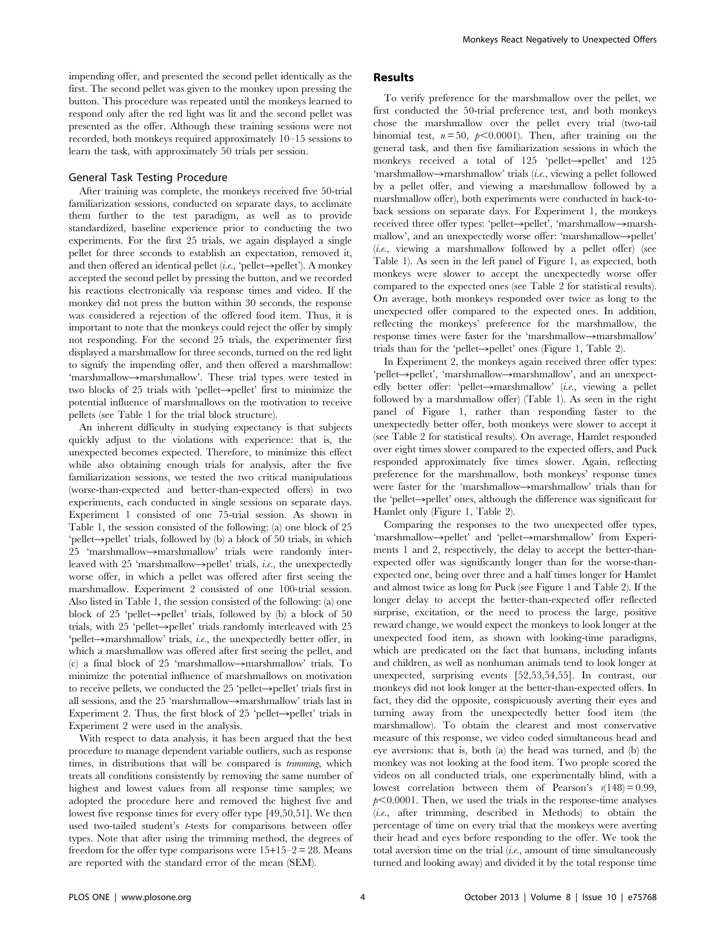impending offer, and presented the second pellet identically as the first. The second pellet was given to the monkey upon pressing the button. This procedure was repeated until the monkeys learned to respond only after the red light was lit and the second pellet was presented as the offer. Although these training sessions were not recorded, both monkeys required approximately 10–15 sessions to learn the task, with approximately 50 trials per session.

#### General Task Testing Procedure

After training was complete, the monkeys received five 50-trial familiarization sessions, conducted on separate days, to acclimate them further to the test paradigm, as well as to provide standardized, baseline experience prior to conducting the two experiments. For the first 25 trials, we again displayed a single pellet for three seconds to establish an expectation, removed it, and then offered an identical pellet (i.e., 'pellet- $\rightarrow$ pellet'). A monkey accepted the second pellet by pressing the button, and we recorded his reactions electronically via response times and video. If the monkey did not press the button within 30 seconds, the response was considered a rejection of the offered food item. Thus, it is important to note that the monkeys could reject the offer by simply not responding. For the second 25 trials, the experimenter first displayed a marshmallow for three seconds, turned on the red light to signify the impending offer, and then offered a marshmallow: 'marshmallow $\rightarrow$ marshmallow'. These trial types were tested in two blocks of 25 trials with 'pellet- $\rightarrow$ pellet' first to minimize the potential influence of marshmallows on the motivation to receive pellets (see Table 1 for the trial block structure).

An inherent difficulty in studying expectancy is that subjects quickly adjust to the violations with experience: that is, the unexpected becomes expected. Therefore, to minimize this effect while also obtaining enough trials for analysis, after the five familiarization sessions, we tested the two critical manipulations (worse-than-expected and better-than-expected offers) in two experiments, each conducted in single sessions on separate days. Experiment 1 consisted of one 75-trial session. As shown in Table 1, the session consisted of the following: (a) one block of 25  $'pellet \rightarrow pellet' trials, followed by (b) a block of 50 trials, in which$  $25$  'marshmallow $\rightarrow$ marshmallow' trials were randomly interleaved with 25 'marshmallow-spellet' trials, *i.e.*, the unexpectedly worse offer, in which a pellet was offered after first seeing the marshmallow. Experiment 2 consisted of one 100-trial session. Also listed in Table 1, the session consisted of the following: (a) one block of 25 'pellet- $\rightarrow$ pellet' trials, followed by (b) a block of 50 trials, with  $25$  'pellet- $\rightarrow$ pellet' trials randomly interleaved with  $25$  $'pellet \rightarrow$  marshmallow' trials, *i.e.*, the unexpectedly better offer, in which a marshmallow was offered after first seeing the pellet, and (c) a final block of 25 'marshmallow->marshmallow' trials. To minimize the potential influence of marshmallows on motivation to receive pellets, we conducted the  $25$  'pellet- $\rightarrow$ pellet' trials first in all sessions, and the 25 'marshmallow $\rightarrow$ marshmallow' trials last in Experiment 2. Thus, the first block of 25 'pellet- $\rightarrow$ pellet' trials in Experiment 2 were used in the analysis.

With respect to data analysis, it has been argued that the best procedure to manage dependent variable outliers, such as response times, in distributions that will be compared is *trimming*, which treats all conditions consistently by removing the same number of highest and lowest values from all response time samples; we adopted the procedure here and removed the highest five and lowest five response times for every offer type [49,50,51]. We then used two-tailed student's t-tests for comparisons between offer types. Note that after using the trimming method, the degrees of freedom for the offer type comparisons were  $15+15-2=28$ . Means are reported with the standard error of the mean (SEM).

# Results

To verify preference for the marshmallow over the pellet, we first conducted the 50-trial preference test, and both monkeys chose the marshmallow over the pellet every trial (two-tail binomial test,  $n = 50$ ,  $p < 0.0001$ ). Then, after training on the general task, and then five familiarization sessions in which the monkeys received a total of  $125$  'pellet->pellet' and  $125$ 'marshmallow $\rightarrow$ marshmallow' trials (*i.e.*, viewing a pellet followed by a pellet offer, and viewing a marshmallow followed by a marshmallow offer), both experiments were conducted in back-toback sessions on separate days. For Experiment 1, the monkeys received three offer types: 'pellet->pellet', 'marshmallow->marshmallow', and an unexpectedly worse offer: 'marshmallow->pellet'  $(i.e.,$  viewing a marshmallow followed by a pellet offer) (see Table 1). As seen in the left panel of Figure 1, as expected, both monkeys were slower to accept the unexpectedly worse offer compared to the expected ones (see Table 2 for statistical results). On average, both monkeys responded over twice as long to the unexpected offer compared to the expected ones. In addition, reflecting the monkeys' preference for the marshmallow, the response times were faster for the 'marshmallow->marshmallow' trials than for the 'pellet- $\rightarrow$ pellet' ones (Figure 1, Table 2).

In Experiment 2, the monkeys again received three offer types: 'pellet->pellet', 'marshmallow->marshmallow', and an unexpectedly better offer: 'pellet $\rightarrow$ marshmallow' (i.e., viewing a pellet followed by a marshmallow offer) (Table 1). As seen in the right panel of Figure 1, rather than responding faster to the unexpectedly better offer, both monkeys were slower to accept it (see Table 2 for statistical results). On average, Hamlet responded over eight times slower compared to the expected offers, and Puck responded approximately five times slower. Again, reflecting preference for the marshmallow, both monkeys' response times were faster for the 'marshmallow->marshmallow' trials than for the 'pellet- $\rightarrow$ pellet' ones, although the difference was significant for Hamlet only (Figure 1, Table 2).

Comparing the responses to the two unexpected offer types, 'marshmallow->pellet' and 'pellet->marshmallow' from Experiments 1 and 2, respectively, the delay to accept the better-thanexpected offer was significantly longer than for the worse-thanexpected one, being over three and a half times longer for Hamlet and almost twice as long for Puck (see Figure 1 and Table 2). If the longer delay to accept the better-than-expected offer reflected surprise, excitation, or the need to process the large, positive reward change, we would expect the monkeys to look longer at the unexpected food item, as shown with looking-time paradigms, which are predicated on the fact that humans, including infants and children, as well as nonhuman animals tend to look longer at unexpected, surprising events [52,53,54,55]. In contrast, our monkeys did not look longer at the better-than-expected offers. In fact, they did the opposite, conspicuously averting their eyes and turning away from the unexpectedly better food item (the marshmallow). To obtain the clearest and most conservative measure of this response, we video coded simultaneous head and eye aversions: that is, both (a) the head was turned, and (b) the monkey was not looking at the food item. Two people scored the videos on all conducted trials, one experimentally blind, with a lowest correlation between them of Pearson's  $r(148) = 0.99$ ,  $p<0.0001$ . Then, we used the trials in the response-time analyses (i.e., after trimming, described in Methods) to obtain the percentage of time on every trial that the monkeys were averting their head and eyes before responding to the offer. We took the total aversion time on the trial (i.e., amount of time simultaneously turned and looking away) and divided it by the total response time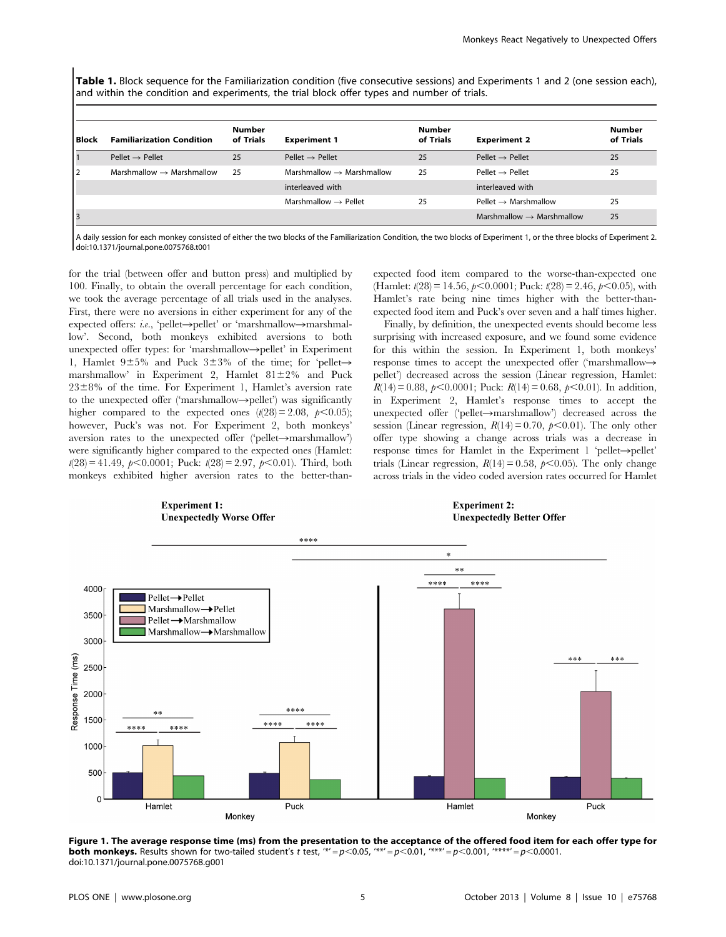Table 1. Block sequence for the Familiarization condition (five consecutive sessions) and Experiments 1 and 2 (one session each), and within the condition and experiments, the trial block offer types and number of trials.

| l Block      | <b>Familiarization Condition</b>      | <b>Number</b><br>of Trials | <b>Experiment 1</b>                   | <b>Number</b><br>of Trials | <b>Experiment 2</b>                   | <b>Number</b><br>of Trials |
|--------------|---------------------------------------|----------------------------|---------------------------------------|----------------------------|---------------------------------------|----------------------------|
|              | $Peller \rightarrow Peller$           | 25                         | $Peller \rightarrow Peller$           | 25                         | Pellet $\rightarrow$ Pellet           | 25                         |
| $^{\circ}$ 2 | Marshmallow $\rightarrow$ Marshmallow | 25                         | Marshmallow $\rightarrow$ Marshmallow | 25                         | $Peller \rightarrow Peller$           | 25                         |
|              |                                       |                            | interleaved with                      |                            | interleaved with                      |                            |
|              |                                       |                            | Marshmallow $\rightarrow$ Pellet      | 25                         | Pellet $\rightarrow$ Marshmallow      | 25                         |
|              |                                       |                            |                                       |                            | Marshmallow $\rightarrow$ Marshmallow | 25                         |

A daily session for each monkey consisted of either the two blocks of the Familiarization Condition, the two blocks of Experiment 1, or the three blocks of Experiment 2. doi:10.1371/journal.pone.0075768.t001

for the trial (between offer and button press) and multiplied by 100. Finally, to obtain the overall percentage for each condition, we took the average percentage of all trials used in the analyses. First, there were no aversions in either experiment for any of the expected offers: i.e., 'pellet- $\rightarrow$ pellet' or 'marshmallow- $\rightarrow$ marshmallow'. Second, both monkeys exhibited aversions to both unexpected offer types: for 'marshmallow->pellet' in Experiment 1, Hamlet  $9\pm5\%$  and Puck  $3\pm3\%$  of the time; for 'pellet marshmallow' in Experiment 2, Hamlet  $81 \pm 2\%$  and Puck  $23\pm8\%$  of the time. For Experiment 1, Hamlet's aversion rate to the unexpected offer ('marshmallow $\rightarrow$ pellet') was significantly higher compared to the expected ones  $(t(28) = 2.08, p<0.05)$ ; however, Puck's was not. For Experiment 2, both monkeys' aversion rates to the unexpected offer ('pellet $\rightarrow$ marshmallow') were significantly higher compared to the expected ones (Hamlet:  $t(28) = 41.49, p < 0.0001$ ; Puck:  $t(28) = 2.97, p < 0.01$ ). Third, both monkeys exhibited higher aversion rates to the better-thanexpected food item compared to the worse-than-expected one (Hamlet:  $t(28) = 14.56$ ,  $p < 0.0001$ ; Puck:  $t(28) = 2.46$ ,  $p < 0.05$ ), with Hamlet's rate being nine times higher with the better-thanexpected food item and Puck's over seven and a half times higher.

Finally, by definition, the unexpected events should become less surprising with increased exposure, and we found some evidence for this within the session. In Experiment 1, both monkeys' response times to accept the unexpected offer ('marshmallowpellet') decreased across the session (Linear regression, Hamlet:  $R(14) = 0.88, p < 0.0001$ ; Puck:  $R(14) = 0.68, p < 0.01$ ). In addition, in Experiment 2, Hamlet's response times to accept the unexpected offer ('pellet $\rightarrow$ marshmallow') decreased across the session (Linear regression,  $R(14) = 0.70$ ,  $p < 0.01$ ). The only other offer type showing a change across trials was a decrease in response times for Hamlet in the Experiment 1 'pellet- $\rightarrow$ pellet' trials (Linear regression,  $R(14) = 0.58$ ,  $p < 0.05$ ). The only change across trials in the video coded aversion rates occurred for Hamlet



Figure 1. The average response time (ms) from the presentation to the acceptance of the offered food item for each offer type for **both monkeys.** Results shown for two-tailed student's t test, '\*' = p<0.05, '\*\*' = p<0.01, '\*\*\*' = p<0.001, '\*\*\*\*' = p<0.0001. doi:10.1371/journal.pone.0075768.g001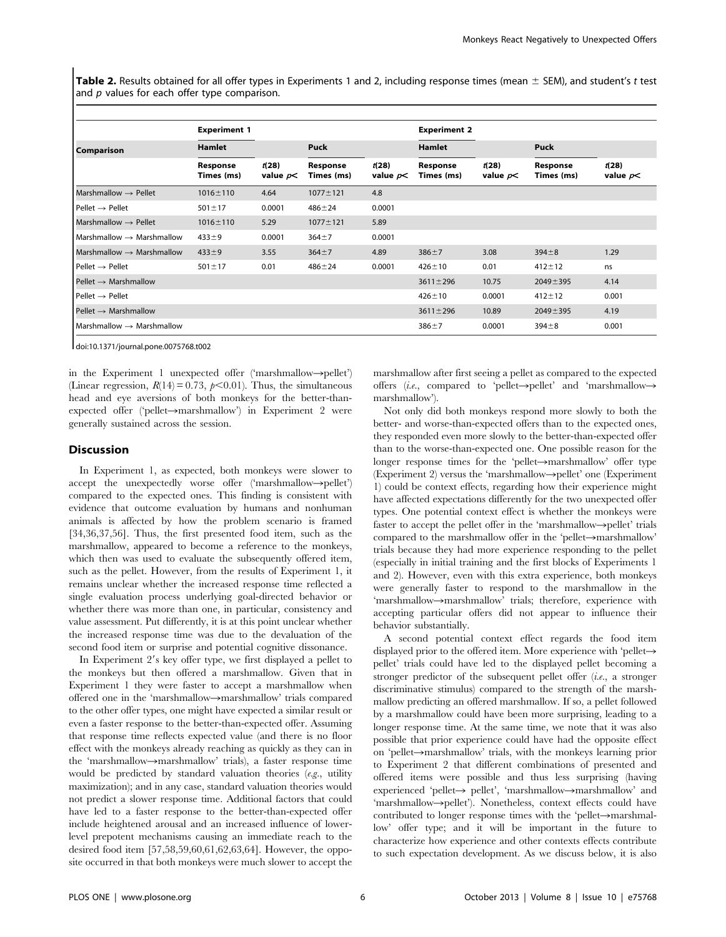Table 2. Results obtained for all offer types in Experiments 1 and 2, including response times (mean  $\pm$  SEM), and student's t test and  $p$  values for each offer type comparison.

|                                       | <b>Experiment 1</b>    |                     |                        |                     | <b>Experiment 2</b>    |                      |                        |                     |
|---------------------------------------|------------------------|---------------------|------------------------|---------------------|------------------------|----------------------|------------------------|---------------------|
| Comparison                            | <b>Hamlet</b>          |                     | <b>Puck</b>            |                     | <b>Hamlet</b>          |                      | Puck                   |                     |
|                                       | Response<br>Times (ms) | t(28)<br>value $p<$ | Response<br>Times (ms) | t(28)<br>value $p<$ | Response<br>Times (ms) | t(28)<br>value $p$ < | Response<br>Times (ms) | t(28)<br>value $p<$ |
| Marshmallow $\rightarrow$ Pellet      | $1016 \pm 110$         | 4.64                | $1077 \pm 121$         | 4.8                 |                        |                      |                        |                     |
| $Peller \rightarrow Peller$           | $501 \pm 17$           | 0.0001              | $486 + 24$             | 0.0001              |                        |                      |                        |                     |
| Marshmallow $\rightarrow$ Pellet      | $1016 \pm 110$         | 5.29                | $1077 \pm 121$         | 5.89                |                        |                      |                        |                     |
| Marshmallow $\rightarrow$ Marshmallow | $433 + 9$              | 0.0001              | $364 + 7$              | 0.0001              |                        |                      |                        |                     |
| Marshmallow $\rightarrow$ Marshmallow | $433 + 9$              | 3.55                | $364 + 7$              | 4.89                | $386 + 7$              | 3.08                 | $394 + 8$              | 1.29                |
| $Pe$ llet $\rightarrow Pe$ llet       | $501 \pm 17$           | 0.01                | $486 + 24$             | 0.0001              | $426 \pm 10$           | 0.01                 | $412 \pm 12$           | ns                  |
| $Pe$ llet $\rightarrow$ Marshmallow   |                        |                     |                        |                     | $3611 \pm 296$         | 10.75                | $2049 \pm 395$         | 4.14                |
| $Peller \rightarrow Peller$           |                        |                     |                        |                     | $426 \pm 10$           | 0.0001               | $412 \pm 12$           | 0.001               |
| $Pe$ llet $\rightarrow$ Marshmallow   |                        |                     |                        |                     | $3611 \pm 296$         | 10.89                | $2049 \pm 395$         | 4.19                |
| Marshmallow $\rightarrow$ Marshmallow |                        |                     |                        |                     | $386 + 7$              | 0.0001               | $394 + 8$              | 0.001               |

doi:10.1371/journal.pone.0075768.t002

in the Experiment 1 unexpected offer ('marshmallow->pellet') (Linear regression,  $R(14) = 0.73$ ,  $p < 0.01$ ). Thus, the simultaneous head and eye aversions of both monkeys for the better-thanexpected offer ('pellet $\rightarrow$ marshmallow') in Experiment 2 were generally sustained across the session.

# **Discussion**

In Experiment 1, as expected, both monkeys were slower to accept the unexpectedly worse offer ('marshmallow->pellet') compared to the expected ones. This finding is consistent with evidence that outcome evaluation by humans and nonhuman animals is affected by how the problem scenario is framed [34,36,37,56]. Thus, the first presented food item, such as the marshmallow, appeared to become a reference to the monkeys, which then was used to evaluate the subsequently offered item, such as the pellet. However, from the results of Experiment 1, it remains unclear whether the increased response time reflected a single evaluation process underlying goal-directed behavior or whether there was more than one, in particular, consistency and value assessment. Put differently, it is at this point unclear whether the increased response time was due to the devaluation of the second food item or surprise and potential cognitive dissonance.

In Experiment 2's key offer type, we first displayed a pellet to the monkeys but then offered a marshmallow. Given that in Experiment 1 they were faster to accept a marshmallow when offered one in the 'marshmallow->marshmallow' trials compared to the other offer types, one might have expected a similar result or even a faster response to the better-than-expected offer. Assuming that response time reflects expected value (and there is no floor effect with the monkeys already reaching as quickly as they can in the 'marshmallow->marshmallow' trials), a faster response time would be predicted by standard valuation theories  $(e.g.,$  utility maximization); and in any case, standard valuation theories would not predict a slower response time. Additional factors that could have led to a faster response to the better-than-expected offer include heightened arousal and an increased influence of lowerlevel prepotent mechanisms causing an immediate reach to the desired food item [57,58,59,60,61,62,63,64]. However, the opposite occurred in that both monkeys were much slower to accept the

marshmallow after first seeing a pellet as compared to the expected offers (i.e., compared to 'pellet->pellet' and 'marshmallow-> marshmallow').

Not only did both monkeys respond more slowly to both the better- and worse-than-expected offers than to the expected ones, they responded even more slowly to the better-than-expected offer than to the worse-than-expected one. One possible reason for the longer response times for the 'pellet $\rightarrow$ marshmallow' offer type (Experiment 2) versus the 'marshmallow $\rightarrow$ pellet' one (Experiment 1) could be context effects, regarding how their experience might have affected expectations differently for the two unexpected offer types. One potential context effect is whether the monkeys were faster to accept the pellet offer in the 'marshmallow $\rightarrow$ pellet' trials compared to the marshmallow offer in the 'pellet $\rightarrow$ marshmallow' trials because they had more experience responding to the pellet (especially in initial training and the first blocks of Experiments 1 and 2). However, even with this extra experience, both monkeys were generally faster to respond to the marshmallow in the 'marshmallow->marshmallow' trials; therefore, experience with accepting particular offers did not appear to influence their behavior substantially.

A second potential context effect regards the food item displayed prior to the offered item. More experience with 'pellet $\rightarrow$ pellet' trials could have led to the displayed pellet becoming a stronger predictor of the subsequent pellet offer (i.e., a stronger discriminative stimulus) compared to the strength of the marshmallow predicting an offered marshmallow. If so, a pellet followed by a marshmallow could have been more surprising, leading to a longer response time. At the same time, we note that it was also possible that prior experience could have had the opposite effect on 'pellet $\rightarrow$ marshmallow' trials, with the monkeys learning prior to Experiment 2 that different combinations of presented and offered items were possible and thus less surprising (having experienced 'pellet $\rightarrow$  pellet', 'marshmallow $\rightarrow$ marshmallow' and 'marshmallow->pellet'). Nonetheless, context effects could have contributed to longer response times with the 'pellet $\rightarrow$ marshmallow' offer type; and it will be important in the future to characterize how experience and other contexts effects contribute to such expectation development. As we discuss below, it is also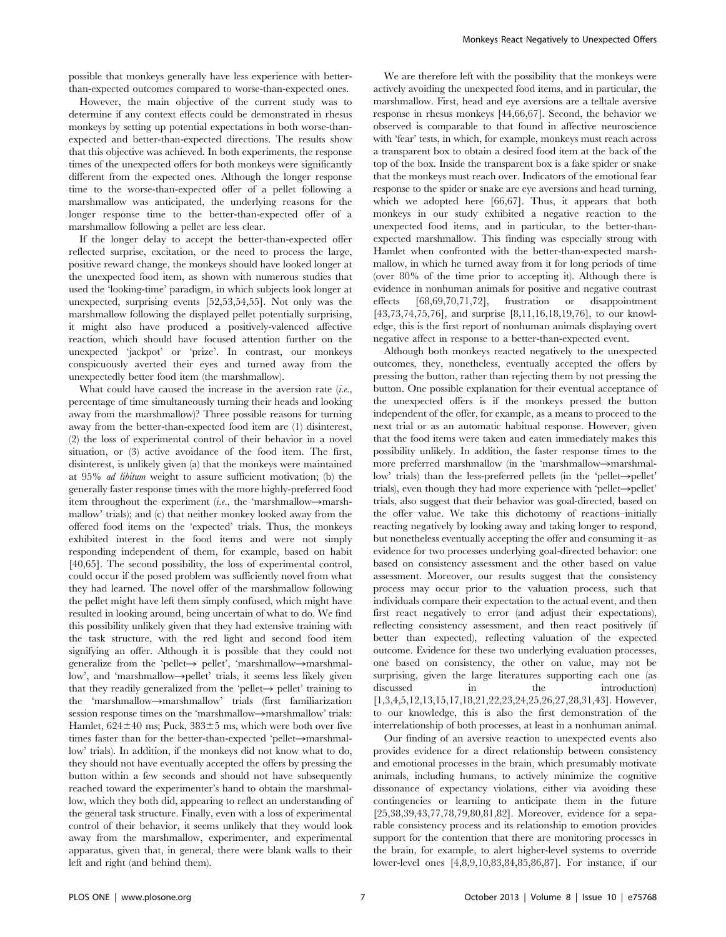possible that monkeys generally have less experience with betterthan-expected outcomes compared to worse-than-expected ones.

However, the main objective of the current study was to determine if any context effects could be demonstrated in rhesus monkeys by setting up potential expectations in both worse-thanexpected and better-than-expected directions. The results show that this objective was achieved. In both experiments, the response times of the unexpected offers for both monkeys were significantly different from the expected ones. Although the longer response time to the worse-than-expected offer of a pellet following a marshmallow was anticipated, the underlying reasons for the longer response time to the better-than-expected offer of a marshmallow following a pellet are less clear.

If the longer delay to accept the better-than-expected offer reflected surprise, excitation, or the need to process the large, positive reward change, the monkeys should have looked longer at the unexpected food item, as shown with numerous studies that used the 'looking-time' paradigm, in which subjects look longer at unexpected, surprising events [52,53,54,55]. Not only was the marshmallow following the displayed pellet potentially surprising, it might also have produced a positively-valenced affective reaction, which should have focused attention further on the unexpected 'jackpot' or 'prize'. In contrast, our monkeys conspicuously averted their eyes and turned away from the unexpectedly better food item (the marshmallow).

What could have caused the increase in the aversion rate  $(i.e.,$ percentage of time simultaneously turning their heads and looking away from the marshmallow)? Three possible reasons for turning away from the better-than-expected food item are (1) disinterest, (2) the loss of experimental control of their behavior in a novel situation, or (3) active avoidance of the food item. The first, disinterest, is unlikely given (a) that the monkeys were maintained at 95% ad libitum weight to assure sufficient motivation; (b) the generally faster response times with the more highly-preferred food item throughout the experiment (*i.e.*, the 'marshmallow->marshmallow' trials); and (c) that neither monkey looked away from the offered food items on the 'expected' trials. Thus, the monkeys exhibited interest in the food items and were not simply responding independent of them, for example, based on habit [40,65]. The second possibility, the loss of experimental control, could occur if the posed problem was sufficiently novel from what they had learned. The novel offer of the marshmallow following the pellet might have left them simply confused, which might have resulted in looking around, being uncertain of what to do. We find this possibility unlikely given that they had extensive training with the task structure, with the red light and second food item signifying an offer. Although it is possible that they could not generalize from the 'pellet- $\rightarrow$  pellet', 'marshmallow->marshmallow', and 'marshmallow->pellet' trials, it seems less likely given that they readily generalized from the 'pellet- $\rightarrow$  pellet' training to the 'marshmallow->marshmallow' trials (first familiarization session response times on the 'marshmallow->marshmallow' trials: Hamlet,  $624 \pm 40$  ms; Puck,  $383 \pm 5$  ms, which were both over five times faster than for the better-than-expected 'pellet $\rightarrow$ marshmallow' trials). In addition, if the monkeys did not know what to do, they should not have eventually accepted the offers by pressing the button within a few seconds and should not have subsequently reached toward the experimenter's hand to obtain the marshmallow, which they both did, appearing to reflect an understanding of the general task structure. Finally, even with a loss of experimental control of their behavior, it seems unlikely that they would look away from the marshmallow, experimenter, and experimental apparatus, given that, in general, there were blank walls to their left and right (and behind them).

We are therefore left with the possibility that the monkeys were actively avoiding the unexpected food items, and in particular, the marshmallow. First, head and eye aversions are a telltale aversive response in rhesus monkeys [44,66,67]. Second, the behavior we observed is comparable to that found in affective neuroscience with 'fear' tests, in which, for example, monkeys must reach across a transparent box to obtain a desired food item at the back of the top of the box. Inside the transparent box is a fake spider or snake that the monkeys must reach over. Indicators of the emotional fear response to the spider or snake are eye aversions and head turning, which we adopted here [66,67]. Thus, it appears that both monkeys in our study exhibited a negative reaction to the unexpected food items, and in particular, to the better-thanexpected marshmallow. This finding was especially strong with Hamlet when confronted with the better-than-expected marshmallow, in which he turned away from it for long periods of time (over 80% of the time prior to accepting it). Although there is evidence in nonhuman animals for positive and negative contrast effects [68,69,70,71,72], frustration or disappointment [43,73,74,75,76], and surprise [8,11,16,18,19,76], to our knowledge, this is the first report of nonhuman animals displaying overt negative affect in response to a better-than-expected event.

Although both monkeys reacted negatively to the unexpected outcomes, they, nonetheless, eventually accepted the offers by pressing the button, rather than rejecting them by not pressing the button. One possible explanation for their eventual acceptance of the unexpected offers is if the monkeys pressed the button independent of the offer, for example, as a means to proceed to the next trial or as an automatic habitual response. However, given that the food items were taken and eaten immediately makes this possibility unlikely. In addition, the faster response times to the more preferred marshmallow (in the 'marshmallow $\rightarrow$ marshmallow' trials) than the less-preferred pellets (in the 'pellet- $\rightarrow$ pellet' trials), even though they had more experience with 'pellet $\rightarrow$ pellet' trials, also suggest that their behavior was goal-directed, based on the offer value. We take this dichotomy of reactions–initially reacting negatively by looking away and taking longer to respond, but nonetheless eventually accepting the offer and consuming it–as evidence for two processes underlying goal-directed behavior: one based on consistency assessment and the other based on value assessment. Moreover, our results suggest that the consistency process may occur prior to the valuation process, such that individuals compare their expectation to the actual event, and then first react negatively to error (and adjust their expectations), reflecting consistency assessment, and then react positively (if better than expected), reflecting valuation of the expected outcome. Evidence for these two underlying evaluation processes, one based on consistency, the other on value, may not be surprising, given the large literatures supporting each one (as discussed in the introduction) [1,3,4,5,12,13,15,17,18,21,22,23,24,25,26,27,28,31,43]. However, to our knowledge, this is also the first demonstration of the interrelationship of both processes, at least in a nonhuman animal.

Our finding of an aversive reaction to unexpected events also provides evidence for a direct relationship between consistency and emotional processes in the brain, which presumably motivate animals, including humans, to actively minimize the cognitive dissonance of expectancy violations, either via avoiding these contingencies or learning to anticipate them in the future [25,38,39,43,77,78,79,80,81,82]. Moreover, evidence for a separable consistency process and its relationship to emotion provides support for the contention that there are monitoring processes in the brain, for example, to alert higher-level systems to override lower-level ones [4,8,9,10,83,84,85,86,87]. For instance, if our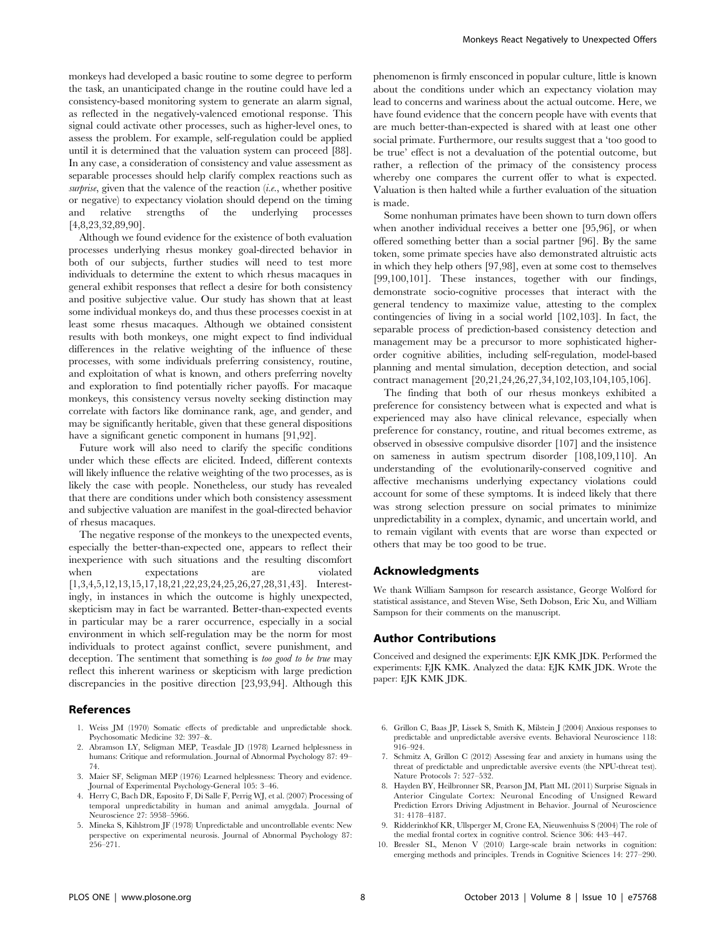monkeys had developed a basic routine to some degree to perform the task, an unanticipated change in the routine could have led a consistency-based monitoring system to generate an alarm signal, as reflected in the negatively-valenced emotional response. This signal could activate other processes, such as higher-level ones, to assess the problem. For example, self-regulation could be applied until it is determined that the valuation system can proceed [88]. In any case, a consideration of consistency and value assessment as separable processes should help clarify complex reactions such as surprise, given that the valence of the reaction (i.e., whether positive or negative) to expectancy violation should depend on the timing and relative strengths of the underlying processes [4,8,23,32,89,90].

Although we found evidence for the existence of both evaluation processes underlying rhesus monkey goal-directed behavior in both of our subjects, further studies will need to test more individuals to determine the extent to which rhesus macaques in general exhibit responses that reflect a desire for both consistency and positive subjective value. Our study has shown that at least some individual monkeys do, and thus these processes coexist in at least some rhesus macaques. Although we obtained consistent results with both monkeys, one might expect to find individual differences in the relative weighting of the influence of these processes, with some individuals preferring consistency, routine, and exploitation of what is known, and others preferring novelty and exploration to find potentially richer payoffs. For macaque monkeys, this consistency versus novelty seeking distinction may correlate with factors like dominance rank, age, and gender, and may be significantly heritable, given that these general dispositions have a significant genetic component in humans [91,92].

Future work will also need to clarify the specific conditions under which these effects are elicited. Indeed, different contexts will likely influence the relative weighting of the two processes, as is likely the case with people. Nonetheless, our study has revealed that there are conditions under which both consistency assessment and subjective valuation are manifest in the goal-directed behavior of rhesus macaques.

The negative response of the monkeys to the unexpected events, especially the better-than-expected one, appears to reflect their inexperience with such situations and the resulting discomfort when expectations are violated [1,3,4,5,12,13,15,17,18,21,22,23,24,25,26,27,28,31,43]. Interestingly, in instances in which the outcome is highly unexpected, skepticism may in fact be warranted. Better-than-expected events in particular may be a rarer occurrence, especially in a social environment in which self-regulation may be the norm for most individuals to protect against conflict, severe punishment, and deception. The sentiment that something is too good to be true may reflect this inherent wariness or skepticism with large prediction discrepancies in the positive direction [23,93,94]. Although this

### References

- 1. Weiss JM (1970) Somatic effects of predictable and unpredictable shock. Psychosomatic Medicine 32: 397–&.
- 2. Abramson LY, Seligman MEP, Teasdale JD (1978) Learned helplessness in humans: Critique and reformulation. Journal of Abnormal Psychology 87: 49– 74.
- 3. Maier SF, Seligman MEP (1976) Learned helplessness: Theory and evidence. Journal of Experimental Psychology-General 105: 3–46.
- 4. Herry C, Bach DR, Esposito F, Di Salle F, Perrig WJ, et al. (2007) Processing of temporal unpredictability in human and animal amygdala. Journal of Neuroscience 27: 5958–5966.
- 5. Mineka S, Kihlstrom JF (1978) Unpredictable and uncontrollable events: New perspective on experimental neurosis. Journal of Abnormal Psychology 87: 256–271.

phenomenon is firmly ensconced in popular culture, little is known about the conditions under which an expectancy violation may lead to concerns and wariness about the actual outcome. Here, we have found evidence that the concern people have with events that are much better-than-expected is shared with at least one other social primate. Furthermore, our results suggest that a 'too good to be true' effect is not a devaluation of the potential outcome, but rather, a reflection of the primacy of the consistency process whereby one compares the current offer to what is expected. Valuation is then halted while a further evaluation of the situation is made.

Some nonhuman primates have been shown to turn down offers when another individual receives a better one [95,96], or when offered something better than a social partner [96]. By the same token, some primate species have also demonstrated altruistic acts in which they help others [97,98], even at some cost to themselves [99,100,101]. These instances, together with our findings, demonstrate socio-cognitive processes that interact with the general tendency to maximize value, attesting to the complex contingencies of living in a social world [102,103]. In fact, the separable process of prediction-based consistency detection and management may be a precursor to more sophisticated higherorder cognitive abilities, including self-regulation, model-based planning and mental simulation, deception detection, and social contract management [20,21,24,26,27,34,102,103,104,105,106].

The finding that both of our rhesus monkeys exhibited a preference for consistency between what is expected and what is experienced may also have clinical relevance, especially when preference for constancy, routine, and ritual becomes extreme, as observed in obsessive compulsive disorder [107] and the insistence on sameness in autism spectrum disorder [108,109,110]. An understanding of the evolutionarily-conserved cognitive and affective mechanisms underlying expectancy violations could account for some of these symptoms. It is indeed likely that there was strong selection pressure on social primates to minimize unpredictability in a complex, dynamic, and uncertain world, and to remain vigilant with events that are worse than expected or others that may be too good to be true.

#### Acknowledgments

We thank William Sampson for research assistance, George Wolford for statistical assistance, and Steven Wise, Seth Dobson, Eric Xu, and William Sampson for their comments on the manuscript.

#### Author Contributions

Conceived and designed the experiments: EJK KMK JDK. Performed the experiments: EJK KMK. Analyzed the data: EJK KMK JDK. Wrote the paper: EJK KMK JDK.

- 6. Grillon C, Baas JP, Lissek S, Smith K, Milstein J (2004) Anxious responses to predictable and unpredictable aversive events. Behavioral Neuroscience 118: 916–924.
- 7. Schmitz A, Grillon C (2012) Assessing fear and anxiety in humans using the threat of predictable and unpredictable aversive events (the NPU-threat test). Nature Protocols 7: 527–532.
- 8. Hayden BY, Heilbronner SR, Pearson JM, Platt ML (2011) Surprise Signals in Anterior Cingulate Cortex: Neuronal Encoding of Unsigned Reward Prediction Errors Driving Adjustment in Behavior. Journal of Neuroscience 31: 4178–4187.
- 9. Ridderinkhof KR, Ullsperger M, Crone EA, Nieuwenhuiss S (2004) The role of the medial frontal cortex in cognitive control. Science 306: 443–447.
- 10. Bressler SL, Menon V (2010) Large-scale brain networks in cognition: emerging methods and principles. Trends in Cognitive Sciences 14: 277–290.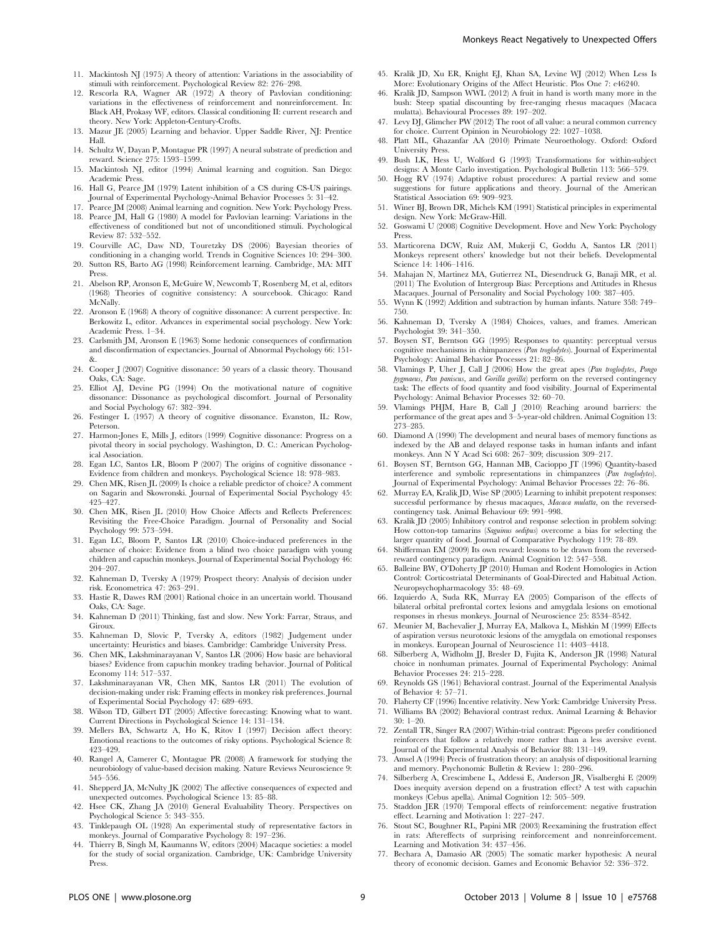- 11. Mackintosh NJ (1975) A theory of attention: Variations in the associability of stimuli with reinforcement. Psychological Review 82: 276–298.
- 12. Rescorla RA, Wagner AR (1972) A theory of Pavlovian conditioning: variations in the effectiveness of reinforcement and nonreinforcement. In: Black AH, Prokasy WF, editors. Classical conditioning II: current research and theory. New York: Appleton-Century-Crofts.
- 13. Mazur JE (2005) Learning and behavior. Upper Saddle River, NJ: Prentice Hall.
- 14. Schultz W, Dayan P, Montague PR (1997) A neural substrate of prediction and reward. Science 275: 1593–1599.
- 15. Mackintosh NJ, editor (1994) Animal learning and cognition. San Diego: Academic Press.
- 16. Hall G, Pearce JM (1979) Latent inhibition of a CS during CS-US pairings. Journal of Experimental Psychology-Animal Behavior Processes 5: 31–42.
- 17. Pearce JM (2008) Animal learning and cognition. New York: Psychology Press. 18. Pearce JM, Hall G (1980) A model for Pavlovian learning: Variations in the
- effectiveness of conditioned but not of unconditioned stimuli. Psychological Review 87: 532–552. 19. Courville AC, Daw ND, Touretzky DS (2006) Bayesian theories of
- conditioning in a changing world. Trends in Cognitive Sciences 10: 294–300.
- 20. Sutton RS, Barto AG (1998) Reinforcement learning. Cambridge, MA: MIT Press.
- 21. Abelson RP, Aronson E, McGuire W, Newcomb T, Rosenberg M, et al, editors (1968) Theories of cognitive consistency: A sourcebook. Chicago: Rand McNally.
- 22. Aronson E (1968) A theory of cognitive dissonance: A current perspective. In: Berkowitz L, editor. Advances in experimental social psychology. New York: Academic Press. 1–34.
- 23. Carlsmith JM, Aronson E (1963) Some hedonic consequences of confirmation and disconfirmation of expectancies. Journal of Abnormal Psychology 66: 151-  $8<sub>r</sub>$
- 24. Cooper J (2007) Cognitive dissonance: 50 years of a classic theory. Thousand Oaks, CA: Sage.
- 25. Elliot AJ, Devine PG (1994) On the motivational nature of cognitive dissonance: Dissonance as psychological discomfort. Journal of Personality and Social Psychology 67: 382–394.
- 26. Festinger L (1957) A theory of cognitive dissonance. Evanston, IL: Row, Peterson.
- 27. Harmon-Jones E, Mills J, editors (1999) Cognitive dissonance: Progress on a pivotal theory in social psychology. Washington, D. C.: American Psychological Association.
- 28. Egan LC, Santos LR, Bloom P (2007) The origins of cognitive dissonance Evidence from children and monkeys. Psychological Science 18: 978–983.
- 29. Chen MK, Risen JL (2009) Is choice a reliable predictor of choice? A comment on Sagarin and Skowronski. Journal of Experimental Social Psychology 45: 425–427.
- 30. Chen MK, Risen JL (2010) How Choice Affects and Reflects Preferences: Revisiting the Free-Choice Paradigm. Journal of Personality and Social Psychology 99: 573–594.
- 31. Egan LC, Bloom P, Santos LR (2010) Choice-induced preferences in the absence of choice: Evidence from a blind two choice paradigm with young children and capuchin monkeys. Journal of Experimental Social Psychology 46: 204–207.
- 32. Kahneman D, Tversky A (1979) Prospect theory: Analysis of decision under risk. Econometrica 47: 263–291.
- 33. Hastie R, Dawes RM (2001) Rational choice in an uncertain world. Thousand Oaks, CA: Sage.
- 34. Kahneman D (2011) Thinking, fast and slow. New York: Farrar, Straus, and Giroux.
- 35. Kahneman D, Slovic P, Tversky A, editors (1982) Judgement under uncertainty: Heuristics and biases. Cambridge: Cambridge University Press.
- 36. Chen MK, Lakshminarayanan V, Santos LR (2006) How basic are behavioral biases? Evidence from capuchin monkey trading behavior. Journal of Political Economy 114: 517–537.
- 37. Lakshminarayanan VR, Chen MK, Santos LR (2011) The evolution of decision-making under risk: Framing effects in monkey risk preferences. Journal of Experimental Social Psychology 47: 689–693.
- 38. Wilson TD, Gilbert DT (2005) Affective forecasting: Knowing what to want. Current Directions in Psychological Science 14: 131–134.
- 39. Mellers BA, Schwartz A, Ho K, Ritov I (1997) Decision affect theory: Emotional reactions to the outcomes of risky options. Psychological Science 8: 423–429.
- 40. Rangel A, Camerer C, Montague PR (2008) A framework for studying the neurobiology of value-based decision making. Nature Reviews Neuroscience 9: 545–556.
- 41. Shepperd JA, McNulty JK (2002) The affective consequences of expected and unexpected outcomes. Psychological Science 13: 85–88.
- 42. Hsee CK, Zhang JA (2010) General Evaluability Theory. Perspectives on Psychological Science 5: 343–355.
- 43. Tinklepaugh OL (1928) An experimental study of representative factors in monkeys. Journal of Comparative Psychology 8: 197–236.
- 44. Thierry B, Singh M, Kaumanns W, editors (2004) Macaque societies: a model for the study of social organization. Cambridge, UK: Cambridge University Press.
- 45. Kralik JD, Xu ER, Knight EJ, Khan SA, Levine WJ (2012) When Less Is More: Evolutionary Origins of the Affect Heuristic. Plos One 7: e46240.
- 46. Kralik JD, Sampson WWL (2012) A fruit in hand is worth many more in the bush: Steep spatial discounting by free-ranging rhesus macaques (Macaca mulatta). Behavioural Processes 89: 197–202.
- 47. Levy DJ, Glimcher PW (2012) The root of all value: a neural common currency for choice. Current Opinion in Neurobiology 22: 1027–1038.
- 48. Platt ML, Ghazanfar AA (2010) Primate Neuroethology. Oxford: Oxford University Press.
- 49. Bush LK, Hess U, Wolford G (1993) Transformations for within-subject designs: A Monte Carlo investigation. Psychological Bulletin 113: 566–579.
- 50. Hogg RV (1974) Adaptive robust procedures: A partial review and some suggestions for future applications and theory. Journal of the American Statistical Association 69: 909–923.
- 51. Winer BJ, Brown DR, Michels KM (1991) Statistical principles in experimental design. New York: McGraw-Hill.
- 52. Goswami U (2008) Cognitive Development. Hove and New York: Psychology Press.
- 53. Marticorena DCW, Ruiz AM, Mukerji C, Goddu A, Santos LR (2011) Monkeys represent others' knowledge but not their beliefs. Developmental Science 14: 1406–1416.
- 54. Mahajan N, Martinez MA, Gutierrez NL, Diesendruck G, Banaji MR, et al. (2011) The Evolution of Intergroup Bias: Perceptions and Attitudes in Rhesus Macaques. Journal of Personality and Social Psychology 100: 387–405.
- 55. Wynn K (1992) Addition and subtraction by human infants. Nature 358: 749– 750.
- 56. Kahneman D, Tversky A (1984) Choices, values, and frames. American Psychologist 39: 341–350.
- 57. Boysen ST, Berntson GG (1995) Responses to quantity: perceptual versus cognitive mechanisms in chimpanzees (Pan troglodytes). Journal of Experimental Psychology: Animal Behavior Processes 21: 82–86.
- 58. Vlamings P, Uher J, Call J (2006) How the great apes (Pan troglodytes, Pongo pygmaeus, Pan paniscus, and Gorilla gorilla) perform on the reversed contingency task: The effects of food quantity and food visibility. Journal of Experimental Psychology: Animal Behavior Processes 32: 60–70.
- 59. Vlamings PHJM, Hare B, Call J (2010) Reaching around barriers: the performance of the great apes and 3–5-year-old children. Animal Cognition 13: 273–285.
- 60. Diamond A (1990) The development and neural bases of memory functions as indexed by the AB and delayed response tasks in human infants and infant monkeys. Ann N Y Acad Sci 608: 267–309; discussion 309–217.
- 61. Boysen ST, Berntson GG, Hannan MB, Cacioppo JT (1996) Quantity-based interference and symbolic representations in chimpanzees (Pan troglodytes). Journal of Experimental Psychology: Animal Behavior Processes 22: 76–86.
- 62. Murray EA, Kralik JD, Wise SP (2005) Learning to inhibit prepotent responses: successful performance by rhesus macaques, Macaca mulatta, on the reversedcontingency task. Animal Behaviour 69: 991–998.
- 63. Kralik JD (2005) Inhibitory control and response selection in problem solving: How cotton-top tamarins (Saguinus oedipus) overcome a bias for selecting the larger quantity of food. Journal of Comparative Psychology 119: 78–89.
- 64. Shifferman EM (2009) Its own reward: lessons to be drawn from the reversedreward contingency paradigm. Animal Cognition 12: 547–558.
- 65. Balleine BW, O'Doherty JP (2010) Human and Rodent Homologies in Action Control: Corticostriatal Determinants of Goal-Directed and Habitual Action. Neuropsychopharmacology 35: 48–69.
- 66. Izquierdo A, Suda RK, Murray EA (2005) Comparison of the effects of bilateral orbital prefrontal cortex lesions and amygdala lesions on emotional responses in rhesus monkeys. Journal of Neuroscience 25: 8534–8542.
- 67. Meunier M, Bachevalier J, Murray EA, Malkova L, Mishkin M (1999) Effects of aspiration versus neurotoxic lesions of the amygdala on emotional responses in monkeys. European Journal of Neuroscience 11: 4403–4418.
- 68. Silberberg A, Widholm JJ, Bresler D, Fujita K, Anderson JR (1998) Natural choice in nonhuman primates. Journal of Experimental Psychology: Animal Behavior Processes 24: 215–228.
- Reynolds GS (1961) Behavioral contrast. Journal of the Experimental Analysis of Behavior 4: 57–71.
- 70. Flaherty CF (1996) Incentive relativity. New York: Cambridge University Press. 71. Williams BA (2002) Behavioral contrast redux. Animal Learning & Behavior
- 30: 1–20.
- 72. Zentall TR, Singer RA (2007) Within-trial contrast: Pigeons prefer conditioned reinforcers that follow a relatively more rather than a less aversive event. Journal of the Experimental Analysis of Behavior 88: 131–149.
- 73. Amsel A (1994) Precis of frustration theory: an analysis of dispositional learning and memory. Psychonomic Bulletin & Review 1: 280–296.
- 74. Silberberg A, Crescimbene L, Addessi E, Anderson JR, Visalberghi E (2009) Does inequity aversion depend on a frustration effect? A test with capuchin monkeys (Cebus apella). Animal Cognition 12: 505–509.
- 75. Staddon JER (1970) Temporal effects of reinforcement: negative frustration effect. Learning and Motivation 1: 227–247.
- 76. Stout SC, Boughner RL, Papini MR (2003) Reexamining the frustration effect in rats: Aftereffects of surprising reinforcement and nonreinforcement. Learning and Motivation 34: 437–456.
- 77. Bechara A, Damasio AR (2005) The somatic marker hypothesis: A neural theory of economic decision. Games and Economic Behavior 52: 336–372.